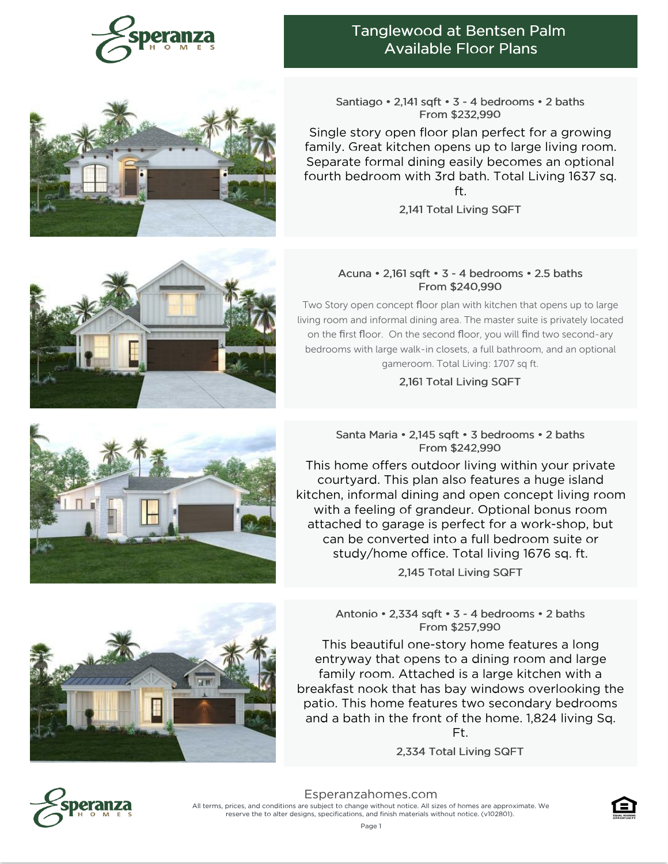

# Tanglewood at Bentsen Palm Available Floor Plans

Santiago • 2,141 sqft • 3 - 4 bedrooms • 2 baths From \$232,990

Single story open floor plan perfect for a growing family. Great kitchen opens up to large living room. Separate formal dining easily becomes an optional fourth bedroom with 3rd bath. Total Living 1637 sq. ft.

2,141 Total Living SQFT

## Acuna • 2,161 sqft • 3 - 4 bedrooms • 2.5 baths From \$240,990

Two Story open concept floor plan with kitchen that opens up to large living room and informal dining area. The master suite is privately located on the first floor. On the second floor, you will find two second-ary bedrooms with large walk-in closets, a full bathroom, and an optional gameroom. Total Living: 1707 sq ft.

2,161 Total Living SQFT

## Santa Maria • 2,145 sqft • 3 bedrooms • 2 baths From \$242,990

This home offers outdoor living within your private courtyard. This plan also features a huge island kitchen, informal dining and open concept living room with a feeling of grandeur. Optional bonus room attached to garage is perfect for a work-shop, but can be converted into a full bedroom suite or study/home office. Total living 1676 sq. ft.

2,145 Total Living SQFT

Antonio • 2,334 sqft • 3 - 4 bedrooms • 2 baths From \$257,990

This beautiful one-story home features a long entryway that opens to a dining room and large family room. Attached is a large kitchen with a breakfast nook that has bay windows overlooking the patio. This home features two secondary bedrooms and a bath in the front of the home. 1,824 living Sq. Ft.

2,334 Total Living SQFT



[Esperanzahomes.com](https://www.esperanzahomes.com) All terms, prices, and conditions are subject to change without notice. All sizes of homes are approximate. We reserve the to alter designs, specifications, and finish materials without notice. (v102801).







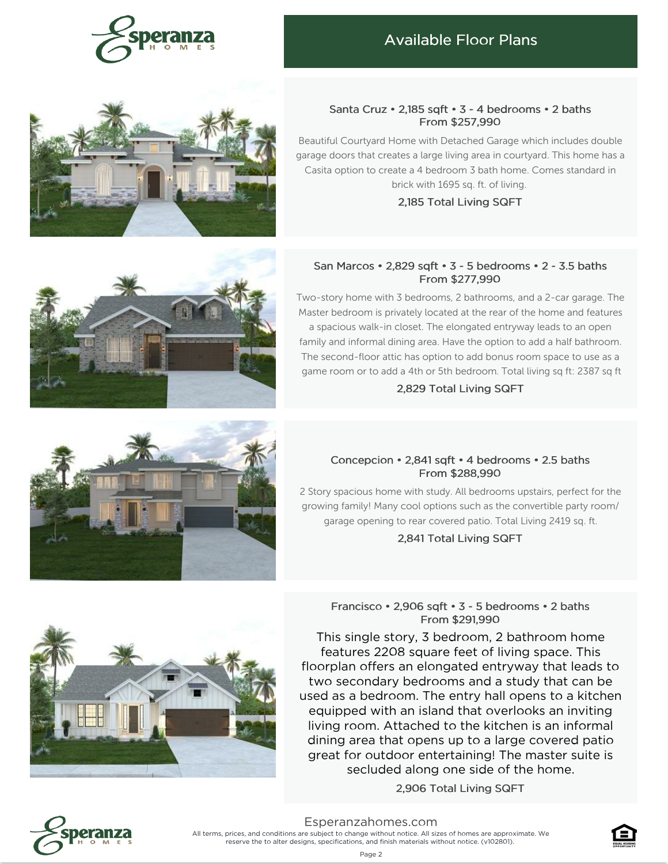

# Available Floor Plans



#### Santa Cruz • 2,185 sqft • 3 - 4 bedrooms • 2 baths From \$257,990

Beautiful Courtyard Home with Detached Garage which includes double garage doors that creates a large living area in courtyard. This home has a Casita option to create a 4 bedroom 3 bath home. Comes standard in brick with 1695 sq. ft. of living.

2,185 Total Living SQFT

## San Marcos • 2,829 sqft • 3 - 5 bedrooms • 2 - 3.5 baths From \$277,990

Two-story home with 3 bedrooms, 2 bathrooms, and a 2-car garage. The Master bedroom is privately located at the rear of the home and features a spacious walk-in closet. The elongated entryway leads to an open family and informal dining area. Have the option to add a half bathroom. The second-floor attic has option to add bonus room space to use as a game room or to add a 4th or 5th bedroom. Total living sq ft: 2387 sq ft

#### 2,829 Total Living SQFT

## Concepcion • 2,841 sqft • 4 bedrooms • 2.5 baths From \$288,990

2 Story spacious home with study. All bedrooms upstairs, perfect for the growing family! Many cool options such as the convertible party room/ garage opening to rear covered patio. Total Living 2419 sq. ft.

2,841 Total Living SQFT

## Francisco • 2,906 sqft • 3 - 5 bedrooms • 2 baths From \$291,990

This single story, 3 bedroom, 2 bathroom home features 2208 square feet of living space. This floorplan offers an elongated entryway that leads to two secondary bedrooms and a study that can be used as a bedroom. The entry hall opens to a kitchen equipped with an island that overlooks an inviting living room. Attached to the kitchen is an informal dining area that opens up to a large covered patio great for outdoor entertaining! The master suite is secluded along one side of the home.

2,906 Total Living SQFT









[Esperanzahomes.com](https://www.esperanzahomes.com)

All terms, prices, and conditions are subject to change without notice. All sizes of homes are approximate. We reserve the to alter designs, specifications, and finish materials without notice. (v102801).

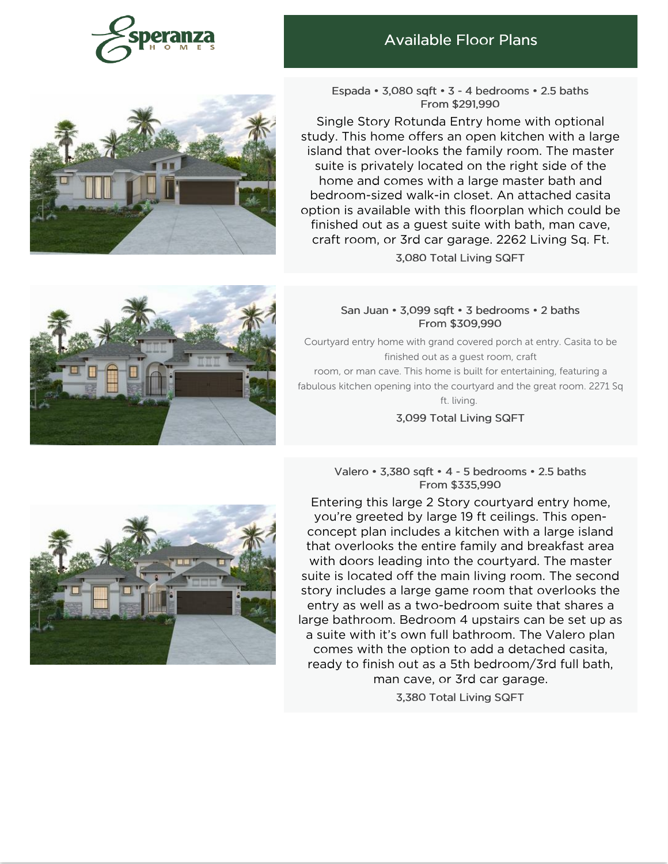

## Available Floor Plans



Espada • 3,080 sqft • 3 - 4 bedrooms • 2.5 baths From \$291,990

Single Story Rotunda Entry home with optional study. This home offers an open kitchen with a large island that over-looks the family room. The master suite is privately located on the right side of the home and comes with a large master bath and bedroom-sized walk-in closet. An attached casita option is available with this floorplan which could be finished out as a guest suite with bath, man cave, craft room, or 3rd car garage. 2262 Living Sq. Ft. 3,080 Total Living SQFT



#### San Juan • 3,099 sqft • 3 bedrooms • 2 baths From \$309,990

Courtyard entry home with grand covered porch at entry. Casita to be finished out as a guest room, craft room, or man cave. This home is built for entertaining, featuring a fabulous kitchen opening into the courtyard and the great room. 2271 Sq ft. living.

3,099 Total Living SQFT

## Valero • 3,380 sqft • 4 - 5 bedrooms • 2.5 baths From \$335,990



3,380 Total Living SQFT